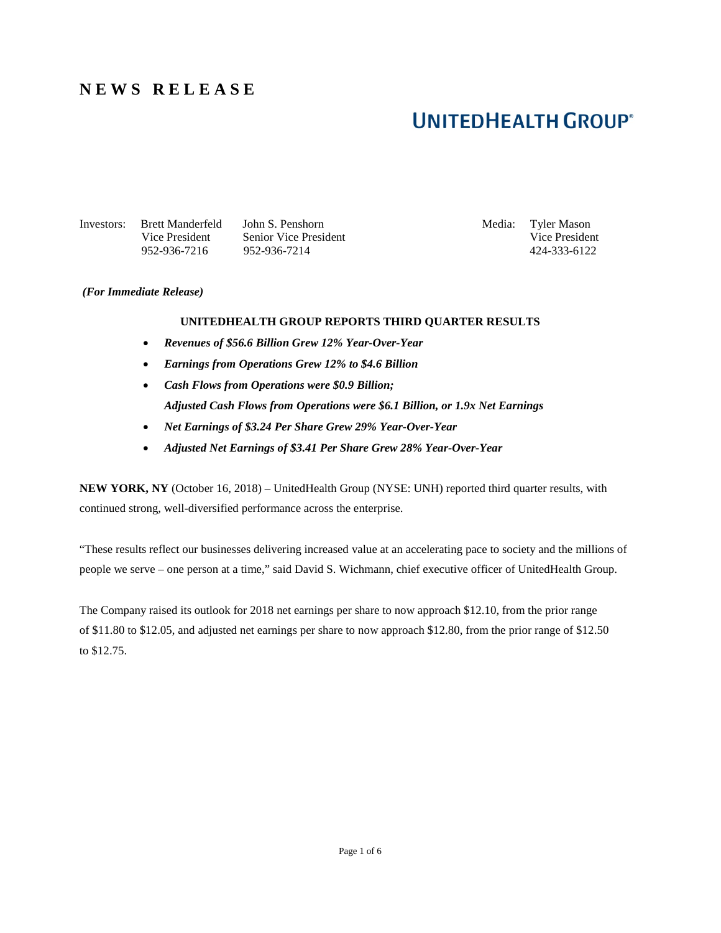## **N E W S R E L E A S E**

## **UNITEDHEALTH GROUP®**

Investors: Brett Manderfeld John S. Penshorn Media: Tyler Mason Vice President Senior Vice President Vice President Vice President Vice President Vice President Vice President Vice President Vice President Vice President Vice President Vice President Vice President Vice President Vice 952-936-7216 952-936-7214

### *(For Immediate Release)*

#### **UNITEDHEALTH GROUP REPORTS THIRD QUARTER RESULTS**

- *Revenues of \$56.6 Billion Grew 12% Year-Over-Year*
- *Earnings from Operations Grew 12% to \$4.6 Billion*
- *Cash Flows from Operations were \$0.9 Billion; Adjusted Cash Flows from Operations were \$6.1 Billion, or 1.9x Net Earnings*
- *Net Earnings of \$3.24 Per Share Grew 29% Year-Over-Year*
- *Adjusted Net Earnings of \$3.41 Per Share Grew 28% Year-Over-Year*

**NEW YORK, NY** (October 16, 2018) – UnitedHealth Group (NYSE: UNH) reported third quarter results, with continued strong, well-diversified performance across the enterprise.

"These results reflect our businesses delivering increased value at an accelerating pace to society and the millions of people we serve – one person at a time," said David S. Wichmann, chief executive officer of UnitedHealth Group.

The Company raised its outlook for 2018 net earnings per share to now approach \$12.10, from the prior range of \$11.80 to \$12.05, and adjusted net earnings per share to now approach \$12.80, from the prior range of \$12.50 to \$12.75.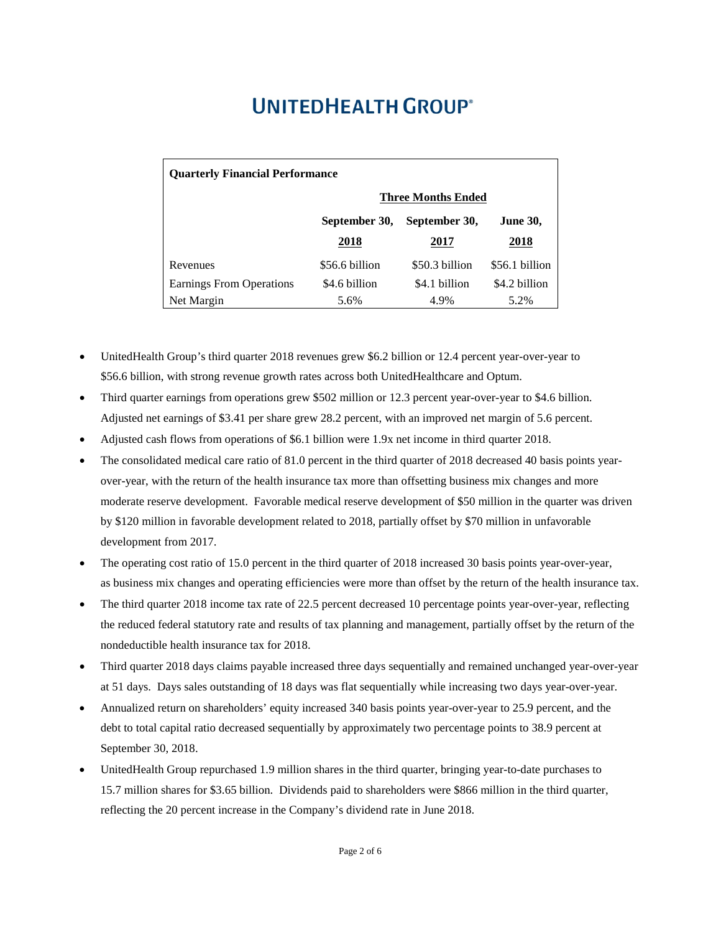# **UNITEDHEALTH GROUP®**

| <b>Quarterly Financial Performance</b> |                |                |                 |  |  |  |
|----------------------------------------|----------------|----------------|-----------------|--|--|--|
| <b>Three Months Ended</b>              |                |                |                 |  |  |  |
|                                        | September 30,  | September 30,  | <b>June 30,</b> |  |  |  |
|                                        | 2018           | 2017           | <u>2018</u>     |  |  |  |
| Revenues                               | \$56.6 billion | \$50.3 billion | \$56.1 billion  |  |  |  |
| Earnings From Operations               | \$4.6 billion  | \$4.1 billion  | \$4.2 billion   |  |  |  |
| Net Margin                             | 5.6%           | 4.9%           | 5.2%            |  |  |  |

- UnitedHealth Group's third quarter 2018 revenues grew \$6.2 billion or 12.4 percent year-over-year to \$56.6 billion, with strong revenue growth rates across both UnitedHealthcare and Optum.
- Third quarter earnings from operations grew \$502 million or 12.3 percent year-over-year to \$4.6 billion. Adjusted net earnings of \$3.41 per share grew 28.2 percent, with an improved net margin of 5.6 percent.
- Adjusted cash flows from operations of \$6.1 billion were 1.9x net income in third quarter 2018.
- The consolidated medical care ratio of 81.0 percent in the third quarter of 2018 decreased 40 basis points yearover-year, with the return of the health insurance tax more than offsetting business mix changes and more moderate reserve development. Favorable medical reserve development of \$50 million in the quarter was driven by \$120 million in favorable development related to 2018, partially offset by \$70 million in unfavorable development from 2017.
- The operating cost ratio of 15.0 percent in the third quarter of 2018 increased 30 basis points year-over-year, as business mix changes and operating efficiencies were more than offset by the return of the health insurance tax.
- The third quarter 2018 income tax rate of 22.5 percent decreased 10 percentage points year-over-year, reflecting the reduced federal statutory rate and results of tax planning and management, partially offset by the return of the nondeductible health insurance tax for 2018.
- Third quarter 2018 days claims payable increased three days sequentially and remained unchanged year-over-year at 51 days. Days sales outstanding of 18 days was flat sequentially while increasing two days year-over-year.
- Annualized return on shareholders' equity increased 340 basis points year-over-year to 25.9 percent, and the debt to total capital ratio decreased sequentially by approximately two percentage points to 38.9 percent at September 30, 2018.
- UnitedHealth Group repurchased 1.9 million shares in the third quarter, bringing year-to-date purchases to 15.7 million shares for \$3.65 billion. Dividends paid to shareholders were \$866 million in the third quarter, reflecting the 20 percent increase in the Company's dividend rate in June 2018.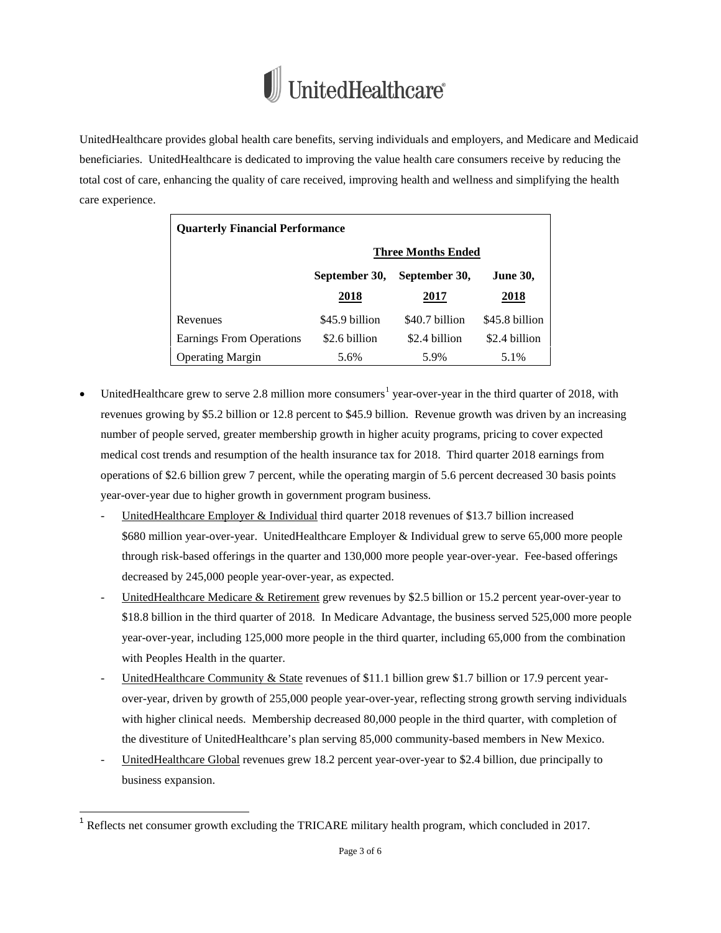

UnitedHealthcare provides global health care benefits, serving individuals and employers, and Medicare and Medicaid beneficiaries. UnitedHealthcare is dedicated to improving the value health care consumers receive by reducing the total cost of care, enhancing the quality of care received, improving health and wellness and simplifying the health care experience.

| <b>Quarterly Financial Performance</b> |                |                |                 |  |  |  |
|----------------------------------------|----------------|----------------|-----------------|--|--|--|
| <b>Three Months Ended</b>              |                |                |                 |  |  |  |
|                                        | September 30,  | September 30,  | <b>June 30,</b> |  |  |  |
|                                        | 2018           | 2017           | 2018            |  |  |  |
| Revenues                               | \$45.9 billion | \$40.7 billion | \$45.8 billion  |  |  |  |
| <b>Earnings From Operations</b>        | \$2.6 billion  | \$2.4 billion  | \$2.4 billion   |  |  |  |
| <b>Operating Margin</b>                | 5.6%           | 5.9%           | 5.1%            |  |  |  |

- UnitedHealthcare grew to serve 2.8 million more consumers<sup>[1](#page-2-0)</sup> year-over-year in the third quarter of 2018, with revenues growing by \$5.2 billion or 12.8 percent to \$45.9 billion. Revenue growth was driven by an increasing number of people served, greater membership growth in higher acuity programs, pricing to cover expected medical cost trends and resumption of the health insurance tax for 2018. Third quarter 2018 earnings from operations of \$2.6 billion grew 7 percent, while the operating margin of 5.6 percent decreased 30 basis points year-over-year due to higher growth in government program business.
	- UnitedHealthcare Employer & Individual third quarter 2018 revenues of \$13.7 billion increased \$680 million year-over-year. UnitedHealthcare Employer & Individual grew to serve 65,000 more people through risk-based offerings in the quarter and 130,000 more people year-over-year. Fee-based offerings decreased by 245,000 people year-over-year, as expected.
	- UnitedHealthcare Medicare & Retirement grew revenues by \$2.5 billion or 15.2 percent year-over-year to \$18.8 billion in the third quarter of 2018. In Medicare Advantage, the business served 525,000 more people year-over-year, including 125,000 more people in the third quarter, including 65,000 from the combination with Peoples Health in the quarter.
	- UnitedHealthcare Community & State revenues of \$11.1 billion grew \$1.7 billion or 17.9 percent yearover-year, driven by growth of 255,000 people year-over-year, reflecting strong growth serving individuals with higher clinical needs. Membership decreased 80,000 people in the third quarter, with completion of the divestiture of UnitedHealthcare's plan serving 85,000 community-based members in New Mexico.
	- UnitedHealthcare Global revenues grew 18.2 percent year-over-year to \$2.4 billion, due principally to business expansion.

<span id="page-2-0"></span> <sup>1</sup> Reflects net consumer growth excluding the TRICARE military health program, which concluded in 2017.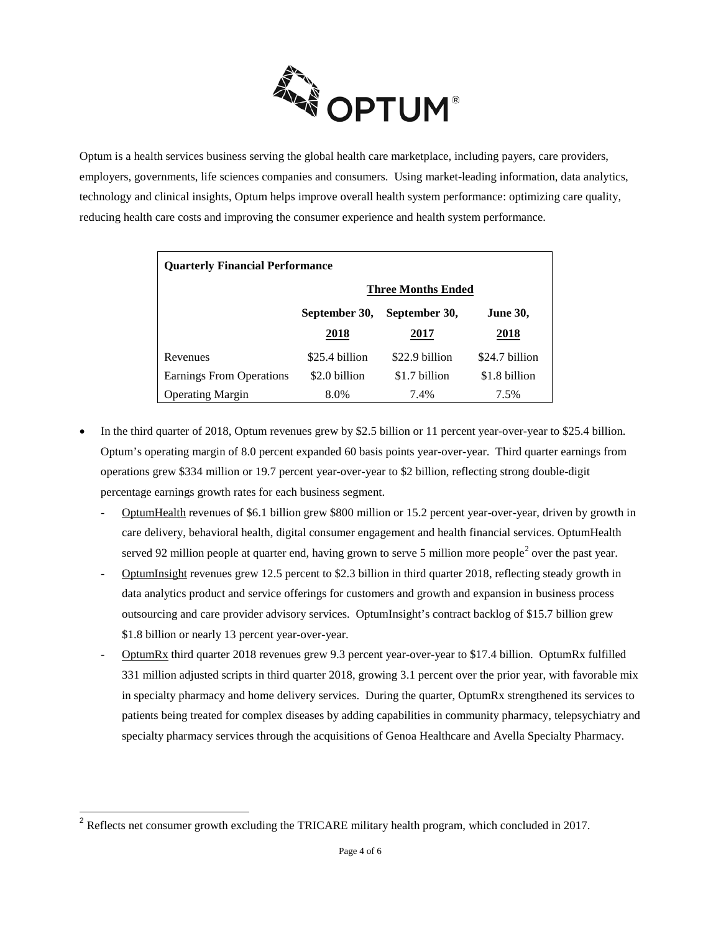

Optum is a health services business serving the global health care marketplace, including payers, care providers, employers, governments, life sciences companies and consumers. Using market-leading information, data analytics, technology and clinical insights, Optum helps improve overall health system performance: optimizing care quality, reducing health care costs and improving the consumer experience and health system performance.

| <b>Ouarterly Financial Performance</b> |                |                |                 |  |  |  |
|----------------------------------------|----------------|----------------|-----------------|--|--|--|
| <b>Three Months Ended</b>              |                |                |                 |  |  |  |
|                                        | September 30,  | September 30,  | <b>June 30,</b> |  |  |  |
|                                        | 2018           | 2017           | 2018            |  |  |  |
| Revenues                               | \$25.4 billion | \$22.9 billion | \$24.7 billion  |  |  |  |
| <b>Earnings From Operations</b>        | \$2.0 billion  | \$1.7 billion  | \$1.8 billion   |  |  |  |
| <b>Operating Margin</b>                | 8.0%           | 7.4%           | 7.5%            |  |  |  |

- In the third quarter of 2018, Optum revenues grew by \$2.5 billion or 11 percent year-over-year to \$25.4 billion. Optum's operating margin of 8.0 percent expanded 60 basis points year-over-year. Third quarter earnings from operations grew \$334 million or 19.7 percent year-over-year to \$2 billion, reflecting strong double-digit percentage earnings growth rates for each business segment.
	- OptumHealth revenues of \$6.1 billion grew \$800 million or 15.2 percent year-over-year, driven by growth in care delivery, behavioral health, digital consumer engagement and health financial services. OptumHealth served 9[2](#page-3-0) million people at quarter end, having grown to serve 5 million more people<sup>2</sup> over the past year.
	- OptumInsight revenues grew 12.5 percent to \$2.3 billion in third quarter 2018, reflecting steady growth in data analytics product and service offerings for customers and growth and expansion in business process outsourcing and care provider advisory services. OptumInsight's contract backlog of \$15.7 billion grew \$1.8 billion or nearly 13 percent year-over-year.
	- OptumRx third quarter 2018 revenues grew 9.3 percent year-over-year to \$17.4 billion. OptumRx fulfilled 331 million adjusted scripts in third quarter 2018, growing 3.1 percent over the prior year, with favorable mix in specialty pharmacy and home delivery services. During the quarter, OptumRx strengthened its services to patients being treated for complex diseases by adding capabilities in community pharmacy, telepsychiatry and specialty pharmacy services through the acquisitions of Genoa Healthcare and Avella Specialty Pharmacy.

<span id="page-3-0"></span><sup>&</sup>lt;sup>2</sup> Reflects net consumer growth excluding the TRICARE military health program, which concluded in 2017.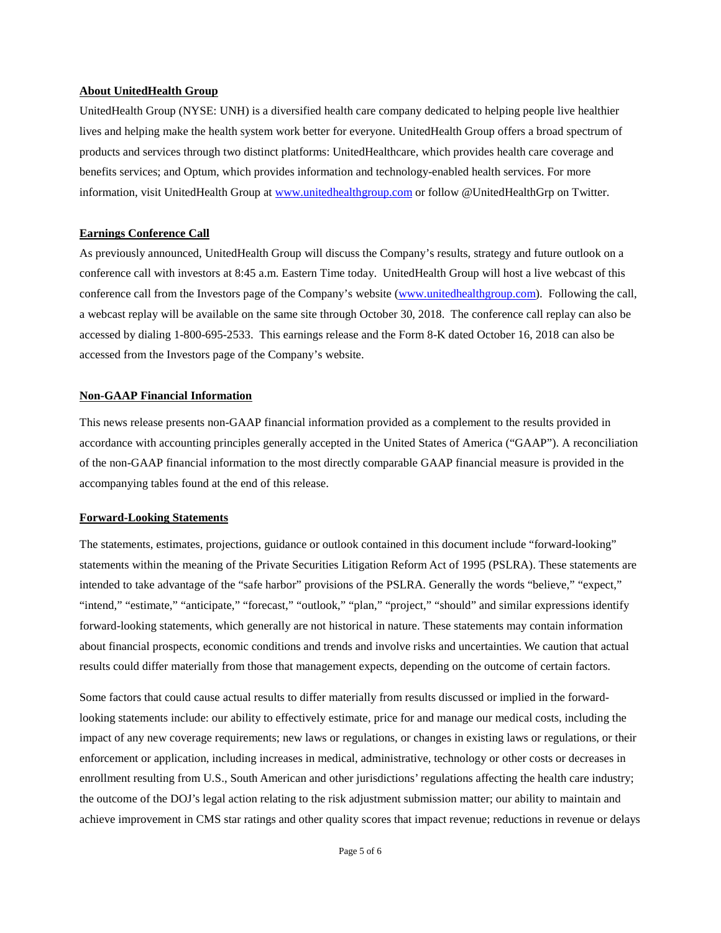### **About UnitedHealth Group**

UnitedHealth Group (NYSE: UNH) is a diversified health care company dedicated to helping people live healthier lives and helping make the health system work better for everyone. UnitedHealth Group offers a broad spectrum of products and services through two distinct platforms: UnitedHealthcare, which provides health care coverage and benefits services; and Optum, which provides information and technology-enabled health services. For more information, visit UnitedHealth Group a[t www.unitedhealthgroup.com](http://www.unitedhealthgroup.com/) or follow @UnitedHealthGrp on Twitter.

#### **Earnings Conference Call**

As previously announced, UnitedHealth Group will discuss the Company's results, strategy and future outlook on a conference call with investors at 8:45 a.m. Eastern Time today. UnitedHealth Group will host a live webcast of this conference call from the Investors page of the Company's website [\(www.unitedhealthgroup.com\)](http://www.unitedhealthgroup.com/). Following the call, a webcast replay will be available on the same site through October 30, 2018. The conference call replay can also be accessed by dialing 1-800-695-2533. This earnings release and the Form 8-K dated October 16, 2018 can also be accessed from the Investors page of the Company's website.

### **Non-GAAP Financial Information**

This news release presents non-GAAP financial information provided as a complement to the results provided in accordance with accounting principles generally accepted in the United States of America ("GAAP"). A reconciliation of the non-GAAP financial information to the most directly comparable GAAP financial measure is provided in the accompanying tables found at the end of this release.

#### **Forward-Looking Statements**

The statements, estimates, projections, guidance or outlook contained in this document include "forward-looking" statements within the meaning of the Private Securities Litigation Reform Act of 1995 (PSLRA). These statements are intended to take advantage of the "safe harbor" provisions of the PSLRA. Generally the words "believe," "expect," "intend," "estimate," "anticipate," "forecast," "outlook," "plan," "project," "should" and similar expressions identify forward-looking statements, which generally are not historical in nature. These statements may contain information about financial prospects, economic conditions and trends and involve risks and uncertainties. We caution that actual results could differ materially from those that management expects, depending on the outcome of certain factors.

Some factors that could cause actual results to differ materially from results discussed or implied in the forwardlooking statements include: our ability to effectively estimate, price for and manage our medical costs, including the impact of any new coverage requirements; new laws or regulations, or changes in existing laws or regulations, or their enforcement or application, including increases in medical, administrative, technology or other costs or decreases in enrollment resulting from U.S., South American and other jurisdictions' regulations affecting the health care industry; the outcome of the DOJ's legal action relating to the risk adjustment submission matter; our ability to maintain and achieve improvement in CMS star ratings and other quality scores that impact revenue; reductions in revenue or delays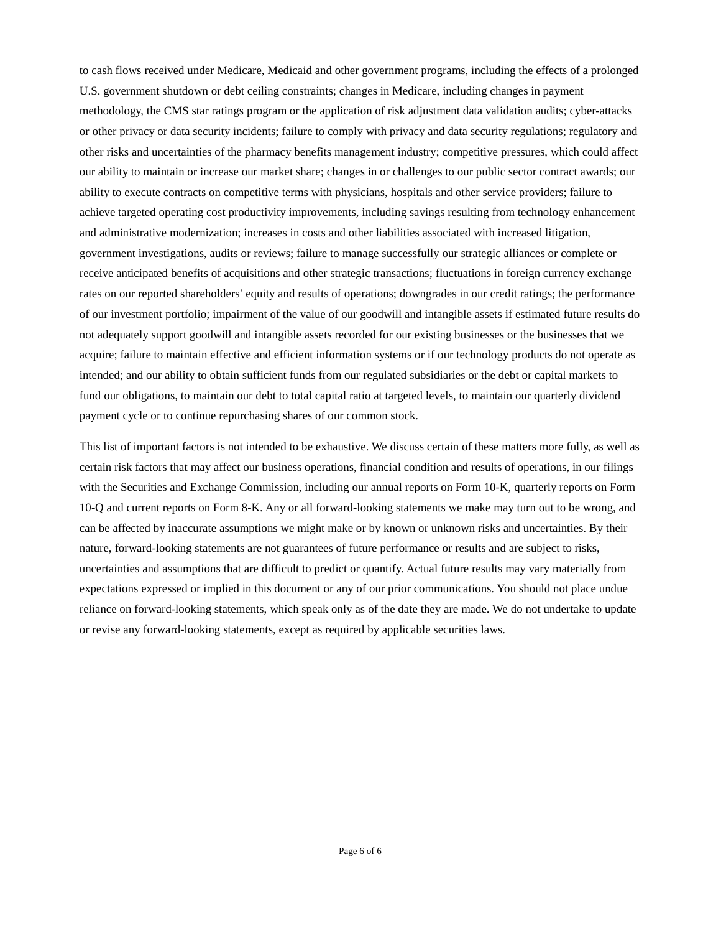to cash flows received under Medicare, Medicaid and other government programs, including the effects of a prolonged U.S. government shutdown or debt ceiling constraints; changes in Medicare, including changes in payment methodology, the CMS star ratings program or the application of risk adjustment data validation audits; cyber-attacks or other privacy or data security incidents; failure to comply with privacy and data security regulations; regulatory and other risks and uncertainties of the pharmacy benefits management industry; competitive pressures, which could affect our ability to maintain or increase our market share; changes in or challenges to our public sector contract awards; our ability to execute contracts on competitive terms with physicians, hospitals and other service providers; failure to achieve targeted operating cost productivity improvements, including savings resulting from technology enhancement and administrative modernization; increases in costs and other liabilities associated with increased litigation, government investigations, audits or reviews; failure to manage successfully our strategic alliances or complete or receive anticipated benefits of acquisitions and other strategic transactions; fluctuations in foreign currency exchange rates on our reported shareholders' equity and results of operations; downgrades in our credit ratings; the performance of our investment portfolio; impairment of the value of our goodwill and intangible assets if estimated future results do not adequately support goodwill and intangible assets recorded for our existing businesses or the businesses that we acquire; failure to maintain effective and efficient information systems or if our technology products do not operate as intended; and our ability to obtain sufficient funds from our regulated subsidiaries or the debt or capital markets to fund our obligations, to maintain our debt to total capital ratio at targeted levels, to maintain our quarterly dividend payment cycle or to continue repurchasing shares of our common stock.

This list of important factors is not intended to be exhaustive. We discuss certain of these matters more fully, as well as certain risk factors that may affect our business operations, financial condition and results of operations, in our filings with the Securities and Exchange Commission, including our annual reports on Form 10-K, quarterly reports on Form 10-Q and current reports on Form 8-K. Any or all forward-looking statements we make may turn out to be wrong, and can be affected by inaccurate assumptions we might make or by known or unknown risks and uncertainties. By their nature, forward-looking statements are not guarantees of future performance or results and are subject to risks, uncertainties and assumptions that are difficult to predict or quantify. Actual future results may vary materially from expectations expressed or implied in this document or any of our prior communications. You should not place undue reliance on forward-looking statements, which speak only as of the date they are made. We do not undertake to update or revise any forward-looking statements, except as required by applicable securities laws.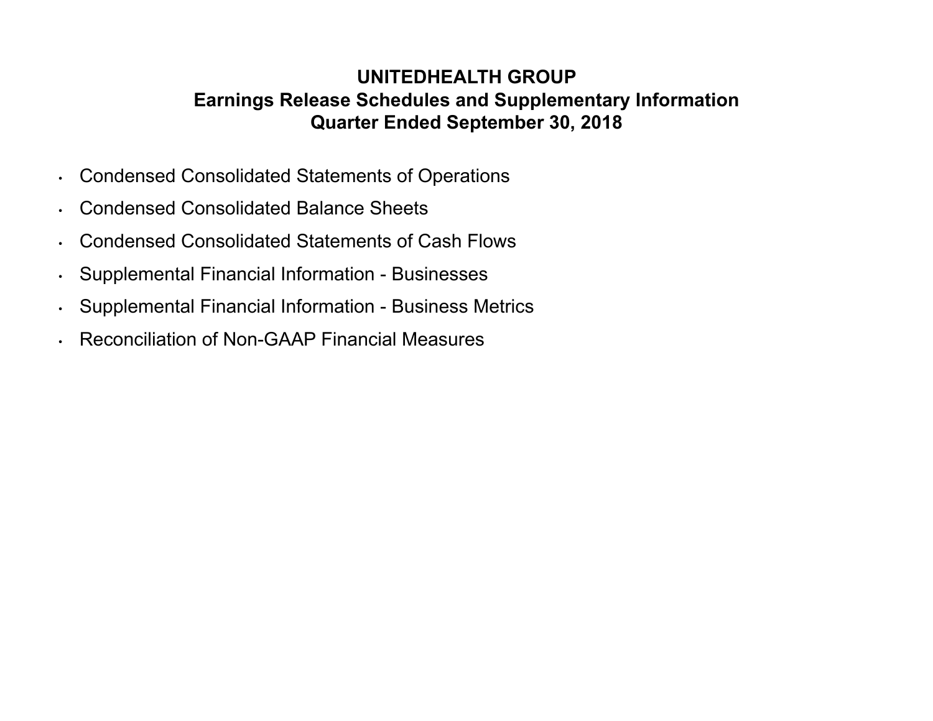## **UNITEDHEALTH GROUP Earnings Release Schedules and Supplementary Information Quarter Ended September 30, 2018**

- Condensed Consolidated Statements of Operations
- Condensed Consolidated Balance Sheets
- Condensed Consolidated Statements of Cash Flows
- Supplemental Financial Information Businesses
- Supplemental Financial Information Business Metrics
- Reconciliation of Non-GAAP Financial Measures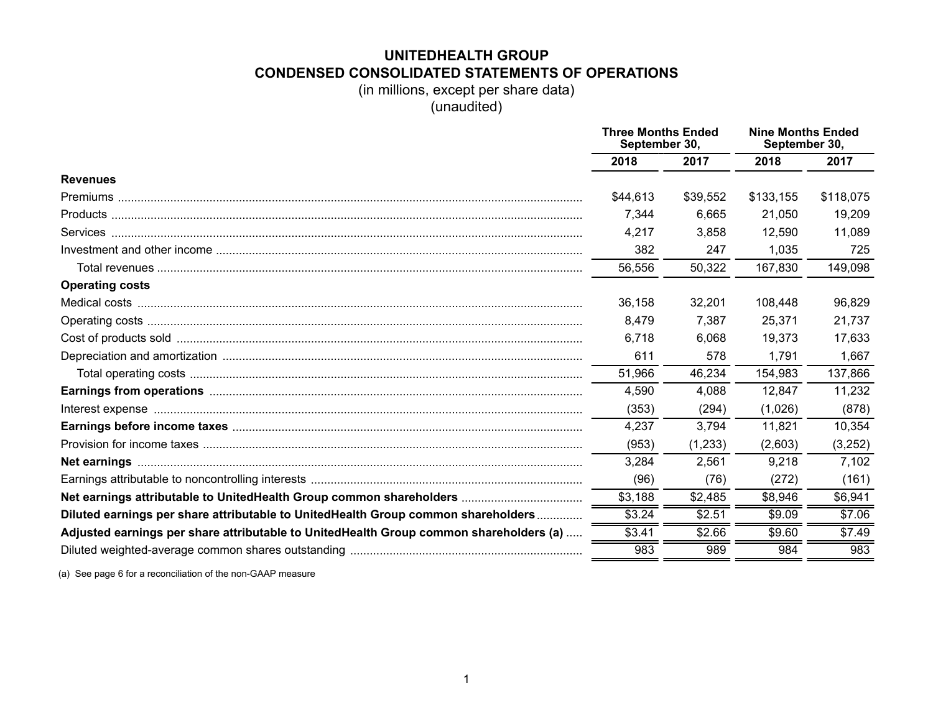## **UNITEDHEALTH GROUP CONDENSED CONSOLIDATED STATEMENTS OF OPERATIONS**

(in millions, except per share data)

(unaudited)

|                                                                                        | <b>Three Months Ended</b><br>September 30, |          | <b>Nine Months Ended</b><br>September 30, |           |
|----------------------------------------------------------------------------------------|--------------------------------------------|----------|-------------------------------------------|-----------|
|                                                                                        | 2018                                       | 2017     | 2018                                      | 2017      |
| <b>Revenues</b>                                                                        |                                            |          |                                           |           |
|                                                                                        | \$44,613                                   | \$39,552 | \$133,155                                 | \$118,075 |
|                                                                                        | 7,344                                      | 6,665    | 21,050                                    | 19,209    |
|                                                                                        | 4,217                                      | 3,858    | 12,590                                    | 11,089    |
|                                                                                        | 382                                        | 247      | 1,035                                     | 725       |
|                                                                                        | 56,556                                     | 50,322   | 167,830                                   | 149,098   |
| <b>Operating costs</b>                                                                 |                                            |          |                                           |           |
|                                                                                        | 36,158                                     | 32,201   | 108,448                                   | 96,829    |
|                                                                                        | 8,479                                      | 7.387    | 25,371                                    | 21,737    |
|                                                                                        | 6,718                                      | 6,068    | 19,373                                    | 17,633    |
|                                                                                        | 611                                        | 578      | 1,791                                     | 1,667     |
|                                                                                        | 51,966                                     | 46,234   | 154,983                                   | 137,866   |
|                                                                                        | 4,590                                      | 4,088    | 12,847                                    | 11,232    |
|                                                                                        | (353)                                      | (294)    | (1,026)                                   | (878)     |
|                                                                                        | 4,237                                      | 3.794    | 11.821                                    | 10,354    |
|                                                                                        | (953)                                      | (1,233)  | (2,603)                                   | (3,252)   |
|                                                                                        | 3,284                                      | 2,561    | 9,218                                     | 7,102     |
|                                                                                        | (96)                                       | (76)     | (272)                                     | (161)     |
|                                                                                        | \$3,188                                    | \$2,485  | \$8,946                                   | \$6,941   |
| Diluted earnings per share attributable to UnitedHealth Group common shareholders      | \$3.24                                     | \$2.51   | \$9.09                                    | \$7.06    |
| Adjusted earnings per share attributable to UnitedHealth Group common shareholders (a) | \$3.41                                     | \$2.66   | \$9.60                                    | \$7.49    |
|                                                                                        | 983                                        | 989      | 984                                       | 983       |
|                                                                                        |                                            |          |                                           |           |

(a) See page 6 for a reconciliation of the non-GAAP measure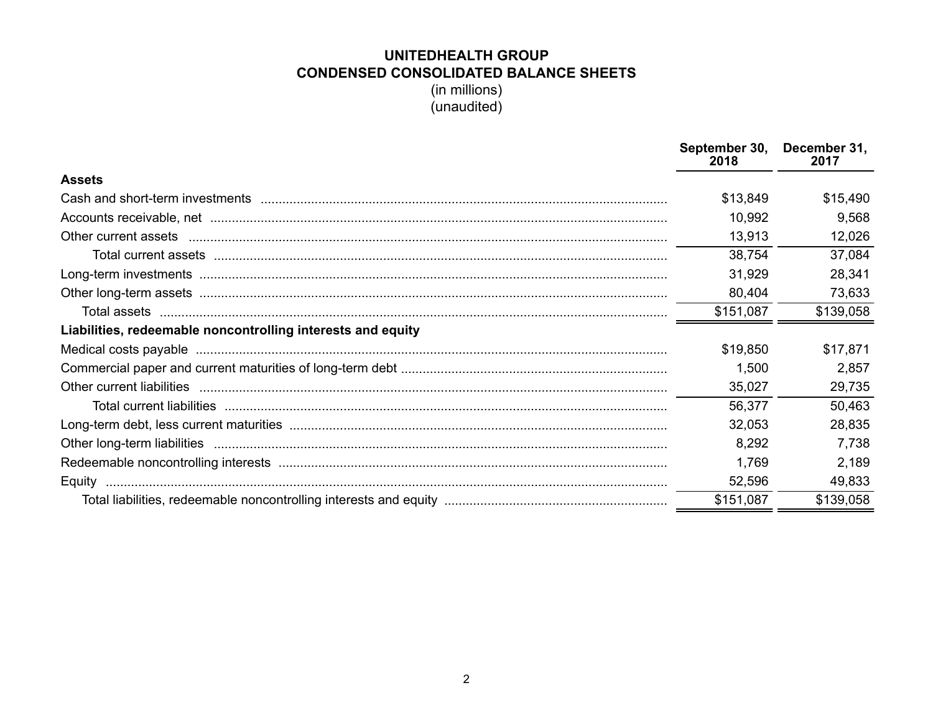## **UNITEDHEALTH GROUP CONDENSED CONSOLIDATED BALANCE SHEETS** (in millions) (unaudited)

|                                                             | September 30, December 31,<br>2018 | 2017      |
|-------------------------------------------------------------|------------------------------------|-----------|
| <b>Assets</b>                                               |                                    |           |
|                                                             | \$13,849                           | \$15,490  |
|                                                             | 10,992                             | 9,568     |
|                                                             | 13,913                             | 12,026    |
|                                                             | 38,754                             | 37,084    |
|                                                             | 31,929                             | 28,341    |
|                                                             | 80,404                             | 73,633    |
|                                                             | \$151,087                          | \$139,058 |
| Liabilities, redeemable noncontrolling interests and equity |                                    |           |
|                                                             | \$19,850                           | \$17,871  |
|                                                             | 1,500                              | 2,857     |
|                                                             | 35,027                             | 29,735    |
|                                                             | 56,377                             | 50,463    |
|                                                             | 32,053                             | 28,835    |
|                                                             | 8,292                              | 7,738     |
|                                                             | 1,769                              | 2,189     |
| Equity                                                      | 52,596                             | 49,833    |
|                                                             | \$151,087                          | \$139,058 |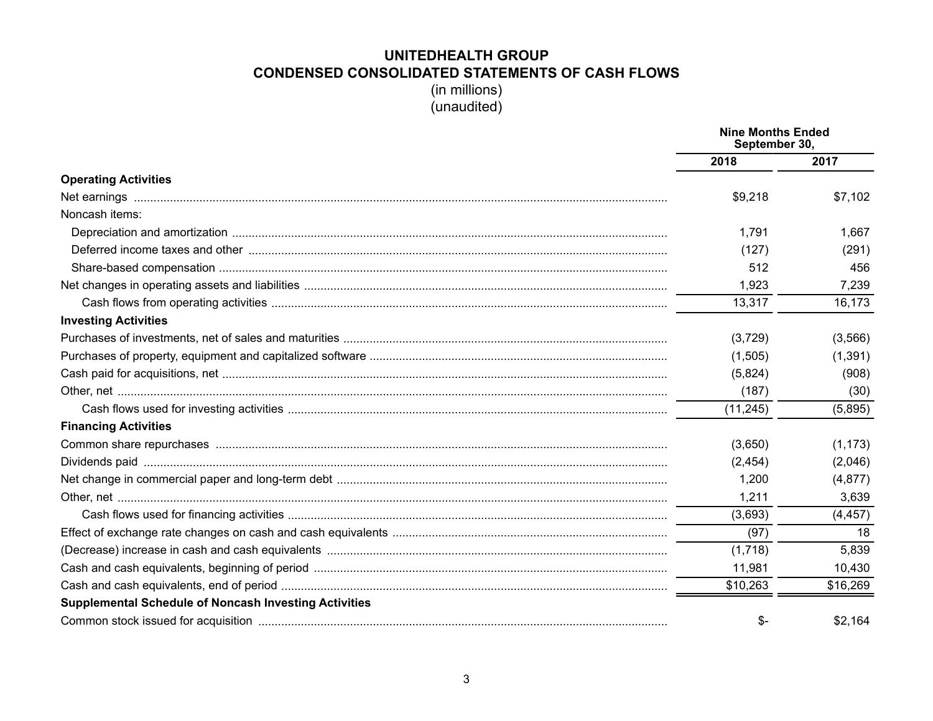## **UNITEDHEALTH GROUP CONDENSED CONSOLIDATED STATEMENTS OF CASH FLOWS**

(in millions) (unaudited)

|                                                              | Nine Months Ended<br>September 30, |          |
|--------------------------------------------------------------|------------------------------------|----------|
|                                                              | 2018                               | 2017     |
| <b>Operating Activities</b>                                  |                                    |          |
|                                                              | \$9,218                            | \$7,102  |
| Noncash items:                                               |                                    |          |
|                                                              | 1.791                              | 1.667    |
|                                                              | (127)                              | (291)    |
|                                                              | 512                                | 456      |
|                                                              | 1,923                              | 7,239    |
|                                                              | 13,317                             | 16,173   |
| <b>Investing Activities</b>                                  |                                    |          |
|                                                              | (3,729)                            | (3,566)  |
|                                                              | (1,505)                            | (1, 391) |
|                                                              | (5,824)                            | (908)    |
|                                                              | (187)                              | (30)     |
|                                                              | (11, 245)                          | (5,895)  |
| <b>Financing Activities</b>                                  |                                    |          |
|                                                              | (3,650)                            | (1, 173) |
|                                                              | (2, 454)                           | (2,046)  |
|                                                              | 1,200                              | (4, 877) |
|                                                              | 1,211                              | 3,639    |
|                                                              | (3,693)                            | (4, 457) |
|                                                              | (97)                               | 18       |
|                                                              | (1,718)                            | 5,839    |
|                                                              | 11,981                             | 10,430   |
|                                                              | \$10,263                           | \$16,269 |
| <b>Supplemental Schedule of Noncash Investing Activities</b> |                                    |          |
|                                                              | \$-                                | \$2,164  |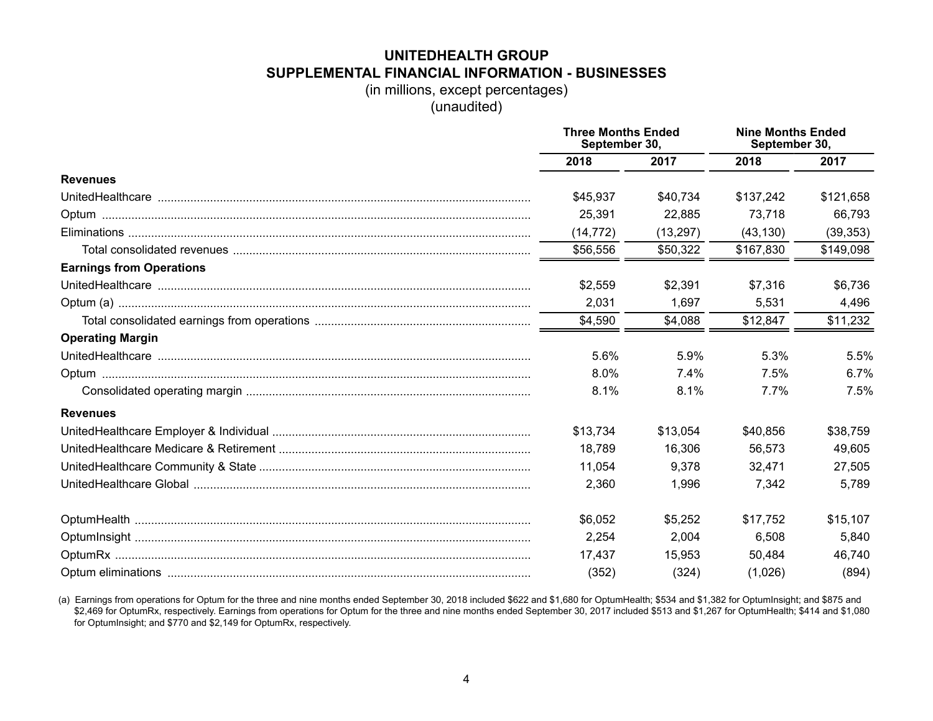### **UNITEDHEALTH GROUP SUPPLEMENTAL FINANCIAL INFORMATION - BUSINESSES**

(in millions, except percentages)

(unaudited)

|                                 | <b>Three Months Ended</b><br>September 30, |           | <b>Nine Months Ended</b><br>September 30, |           |
|---------------------------------|--------------------------------------------|-----------|-------------------------------------------|-----------|
|                                 | 2018                                       | 2017      | 2018                                      | 2017      |
| <b>Revenues</b>                 |                                            |           |                                           |           |
|                                 | \$45,937                                   | \$40,734  | \$137,242                                 | \$121,658 |
|                                 | 25,391                                     | 22,885    | 73,718                                    | 66,793    |
|                                 | (14, 772)                                  | (13, 297) | (43, 130)                                 | (39, 353) |
|                                 | \$56,556                                   | \$50,322  | \$167,830                                 | \$149,098 |
| <b>Earnings from Operations</b> |                                            |           |                                           |           |
|                                 | \$2,559                                    | \$2,391   | \$7,316                                   | \$6,736   |
|                                 | 2,031                                      | 1,697     | 5,531                                     | 4,496     |
|                                 | \$4,590                                    | \$4,088   | \$12,847                                  | \$11,232  |
| <b>Operating Margin</b>         |                                            |           |                                           |           |
|                                 | 5.6%                                       | 5.9%      | 5.3%                                      | 5.5%      |
|                                 | 8.0%                                       | 7.4%      | 7.5%                                      | 6.7%      |
|                                 | 8.1%                                       | 8.1%      | 7.7%                                      | 7.5%      |
| <b>Revenues</b>                 |                                            |           |                                           |           |
|                                 | \$13,734                                   | \$13,054  | \$40,856                                  | \$38,759  |
|                                 | 18,789                                     | 16,306    | 56,573                                    | 49,605    |
|                                 | 11,054                                     | 9,378     | 32,471                                    | 27,505    |
|                                 | 2,360                                      | 1.996     | 7,342                                     | 5,789     |
|                                 | \$6,052                                    | \$5,252   | \$17,752                                  | \$15,107  |
|                                 | 2,254                                      | 2,004     | 6,508                                     | 5,840     |
|                                 | 17,437                                     | 15,953    | 50.484                                    | 46,740    |
|                                 | (352)                                      | (324)     | (1,026)                                   | (894)     |

(a) Earnings from operations for Optum for the three and nine months ended September 30, 2018 included \$622 and \$1,680 for OptumHealth; \$534 and \$1,382 for OptumInsight; and \$875 and \$2,469 for OptumRx, respectively. Earnings from operations for Optum for the three and nine months ended September 30, 2017 included \$513 and \$1,267 for OptumHealth; \$414 and \$1,080 for OptumInsight; and \$770 and \$2,149 for OptumRx, respectively.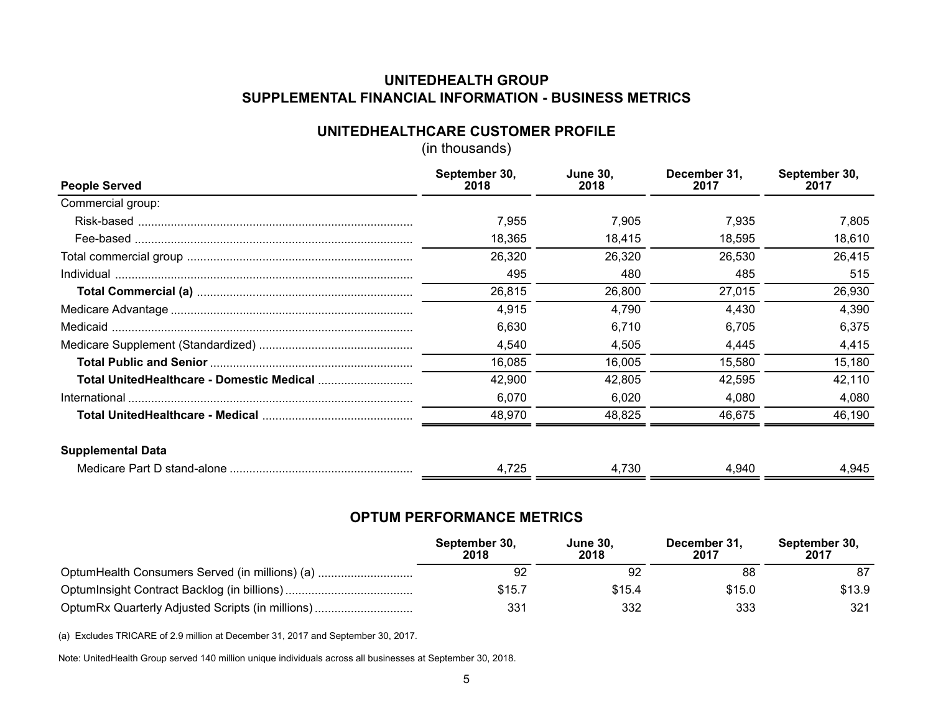## **UNITEDHEALTH GROUP SUPPLEMENTAL FINANCIAL INFORMATION - BUSINESS METRICS**

## **UNITEDHEALTHCARE CUSTOMER PROFILE**

(in thousands)

| <b>People Served</b>     | September 30,<br>2018 | <b>June 30,</b><br>2018 | December 31,<br>2017 | September 30,<br>2017 |
|--------------------------|-----------------------|-------------------------|----------------------|-----------------------|
| Commercial group:        |                       |                         |                      |                       |
|                          | 7,955                 | 7.905                   | 7,935                | 7.805                 |
|                          | 18,365                | 18,415                  | 18,595               | 18,610                |
|                          | 26,320                | 26,320                  | 26,530               | 26,415                |
| Individual               | 495                   | 480                     | 485                  | 515                   |
|                          | 26,815                | 26,800                  | 27,015               | 26,930                |
|                          | 4,915                 | 4.790                   | 4,430                | 4,390                 |
|                          | 6,630                 | 6,710                   | 6.705                | 6,375                 |
|                          | 4,540                 | 4,505                   | 4,445                | 4,415                 |
|                          | 16,085                | 16,005                  | 15,580               | 15,180                |
|                          | 42,900                | 42,805                  | 42,595               | 42,110                |
|                          | 6,070                 | 6,020                   | 4,080                | 4,080                 |
|                          | 48,970                | 48,825                  | 46,675               | 46,190                |
| <b>Supplemental Data</b> |                       |                         |                      |                       |
|                          | 4.725                 | 4.730                   | 4.940                | 4.945                 |

### **OPTUM PERFORMANCE METRICS**

|                                                   | September 30,<br>2018 | <b>June 30.</b><br>2018 | December 31.<br>2017 | September 30,<br>2017 |
|---------------------------------------------------|-----------------------|-------------------------|----------------------|-----------------------|
|                                                   | 92                    |                         | 88                   | 87                    |
|                                                   | \$15.7                | \$15.4                  | \$15.0               | \$13.9                |
| Optum Rx Quarterly Adjusted Scripts (in millions) | 331                   | 332                     | 333                  | 321                   |

(a) Excludes TRICARE of 2.9 million at December 31, 2017 and September 30, 2017.

Note: UnitedHealth Group served 140 million unique individuals across all businesses at September 30, 2018.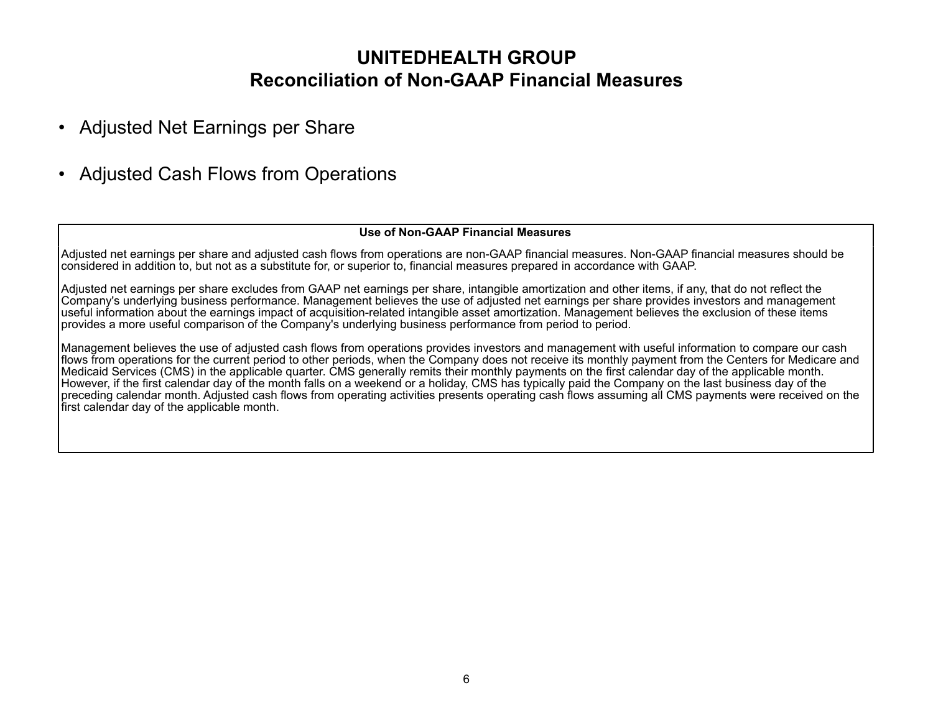## **UNITEDHEALTH GROUP Reconciliation of Non-GAAP Financial Measures**

- Adjusted Net Earnings per Share
- Adjusted Cash Flows from Operations

### **Use of Non-GAAP Financial Measures**

Adjusted net earnings per share and adjusted cash flows from operations are non-GAAP financial measures. Non-GAAP financial measures should be considered in addition to, but not as a substitute for, or superior to, financial measures prepared in accordance with GAAP.

Adjusted net earnings per share excludes from GAAP net earnings per share, intangible amortization and other items, if any, that do not reflect the Company's underlying business performance. Management believes the use of adjusted net earnings per share provides investors and management useful information about the earnings impact of acquisition-related intangible asset amortization. Management believes the exclusion of these items provides a more useful comparison of the Company's underlying business performance from period to period.

Management believes the use of adjusted cash flows from operations provides investors and management with useful information to compare our cash flows from operations for the current period to other periods, when the Company does not receive its monthly payment from the Centers for Medicare and Medicaid Services (CMS) in the applicable quarter. CMS generally remits their monthly payments on the first calendar day of the applicable month. However, if the first calendar day of the month falls on a weekend or a holiday, CMS has typically paid the Company on the last business day of the preceding calendar month. Adjusted cash flows from operating activities presents operating cash flows assuming all CMS payments were received on the first calendar day of the applicable month.